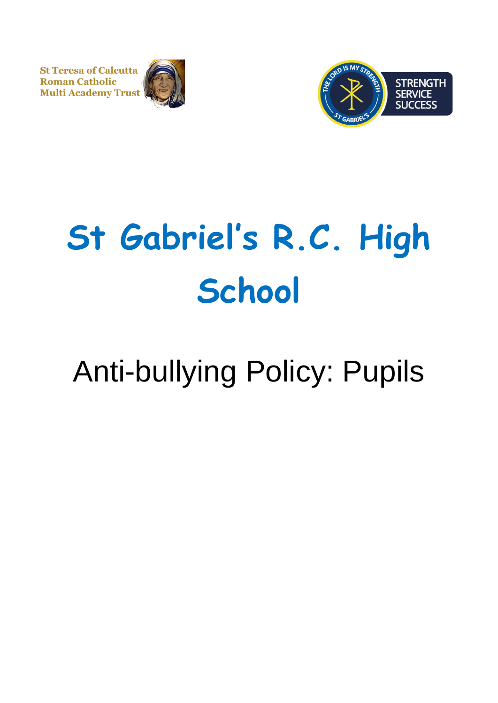**St Teresa of Calcutta Roman Catholic Multi Academy Trust** 





# **St Gabriel's R.C. High School**

# Anti-bullying Policy: Pupils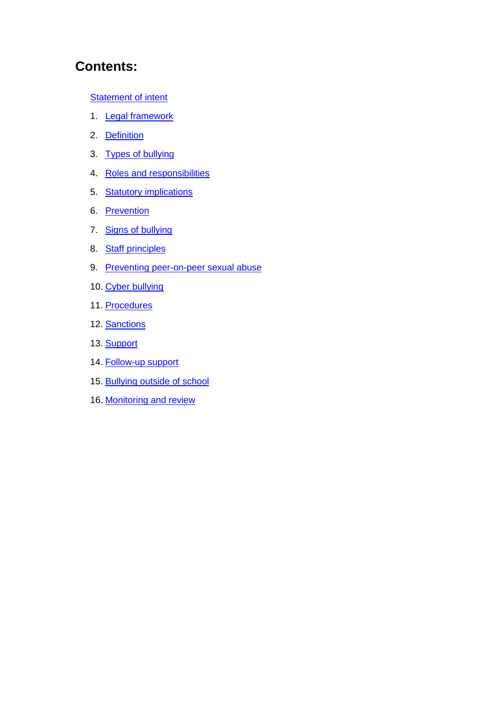# **Contents:**

#### **[Statement of intent](#page-2-0)**

- 1. **[Legal framework](#page-3-0)**
- 2. [Definition](#page-3-1)
- 3. [Types of bullying](#page-4-0)
- 4. [Roles and responsibilities](#page-5-0)
- 5. [Statutory implications](#page-6-0)
- 6. [Prevention](#page-7-0)
- 7. [Signs of bullying](#page-8-0)
- 8. [Staff principles](#page-9-0)
- 9. [Preventing peer-on-peer sexual abuse](#page-10-0)
- 10. [Cyber bullying](#page-12-0)
- 11. [Procedures](#page-13-0)
- 12. [Sanctions](#page-14-0)
- 13. [Support](#page-14-1)
- 14. [Follow-up support](#page-15-0)
- 15. [Bullying outside of school](#page-16-0)
- 16. [Monitoring and review](#page-16-1)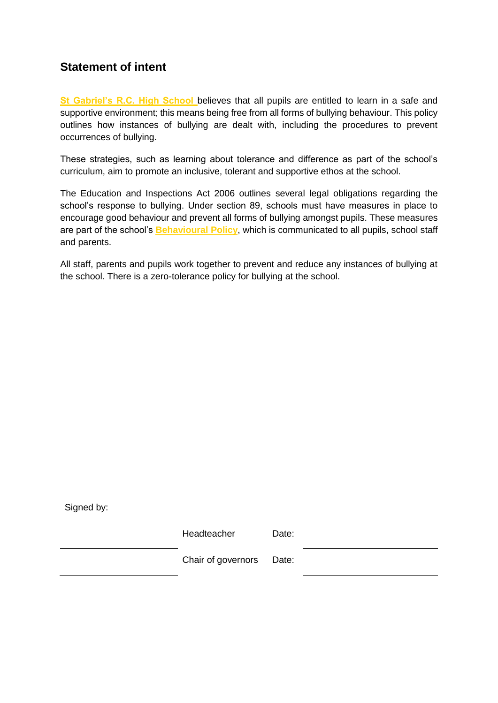# <span id="page-2-0"></span>**Statement of intent**

**St Gabriel's R.C. High School** believes that all pupils are entitled to learn in a safe and supportive environment; this means being free from all forms of bullying behaviour. This policy outlines how instances of bullying are dealt with, including the procedures to prevent occurrences of bullying.

These strategies, such as learning about tolerance and difference as part of the school's curriculum, aim to promote an inclusive, tolerant and supportive ethos at the school.

The Education and Inspections Act 2006 outlines several legal obligations regarding the school's response to bullying. Under section 89, schools must have measures in place to encourage good behaviour and prevent all forms of bullying amongst pupils. These measures are part of the school's **Behavioural Policy**, which is communicated to all pupils, school staff and parents.

All staff, parents and pupils work together to prevent and reduce any instances of bullying at the school. There is a zero-tolerance policy for bullying at the school.

Signed by:

Headteacher Date:

Chair of governors Date: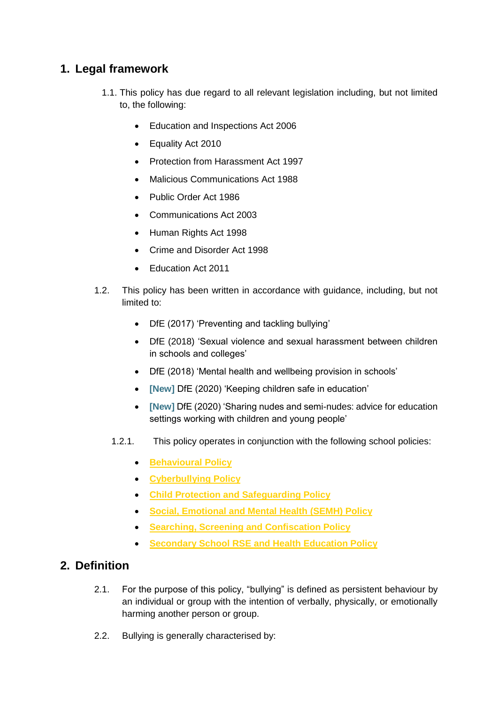# <span id="page-3-0"></span>**1. Legal framework**

- 1.1. This policy has due regard to all relevant legislation including, but not limited to, the following:
	- Education and Inspections Act 2006
	- Equality Act 2010
	- Protection from Harassment Act 1997
	- Malicious Communications Act 1988
	- Public Order Act 1986
	- Communications Act 2003
	- Human Rights Act 1998
	- Crime and Disorder Act 1998
	- Education Act 2011
- 1.2. This policy has been written in accordance with guidance, including, but not limited to:
	- DfE (2017) 'Preventing and tackling bullying'
	- DfE (2018) 'Sexual violence and sexual harassment between children in schools and colleges'
	- DfE (2018) 'Mental health and wellbeing provision in schools'
	- **[New]** DfE (2020) 'Keeping children safe in education'
	- **[New]** DfE (2020) 'Sharing nudes and semi-nudes: advice for education settings working with children and young people'
	- 1.2.1. This policy operates in conjunction with the following school policies:
		- **Behavioural Policy**
		- **Cyberbullying Policy**
		- **Child Protection and Safeguarding Policy**
		- **Social, Emotional and Mental Health (SEMH) Policy**
		- **Searching, Screening and Confiscation Policy**
		- **Secondary School RSE and Health Education Policy**

## <span id="page-3-1"></span>**2. Definition**

- 2.1. For the purpose of this policy, "bullying" is defined as persistent behaviour by an individual or group with the intention of verbally, physically, or emotionally harming another person or group.
- 2.2. Bullying is generally characterised by: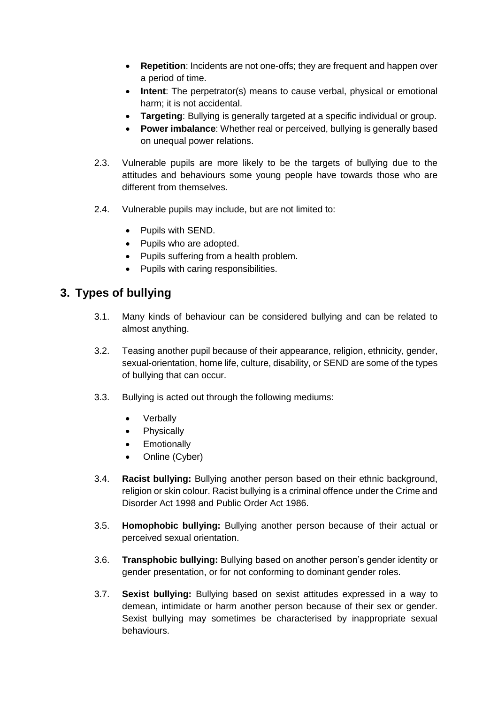- **Repetition**: Incidents are not one-offs; they are frequent and happen over a period of time.
- **Intent**: The perpetrator(s) means to cause verbal, physical or emotional harm; it is not accidental.
- **Targeting**: Bullying is generally targeted at a specific individual or group.
- **Power imbalance**: Whether real or perceived, bullying is generally based on unequal power relations.
- 2.3. Vulnerable pupils are more likely to be the targets of bullying due to the attitudes and behaviours some young people have towards those who are different from themselves.
- 2.4. Vulnerable pupils may include, but are not limited to:
	- Pupils with SEND.
	- Pupils who are adopted.
	- Pupils suffering from a health problem.
	- Pupils with caring responsibilities.

# <span id="page-4-0"></span>**3. Types of bullying**

- 3.1. Many kinds of behaviour can be considered bullying and can be related to almost anything.
- 3.2. Teasing another pupil because of their appearance, religion, ethnicity, gender, sexual-orientation, home life, culture, disability, or SEND are some of the types of bullying that can occur.
- 3.3. Bullying is acted out through the following mediums:
	- Verbally
	- Physically
	- Emotionally
	- Online (Cyber)
- 3.4. **Racist bullying:** Bullying another person based on their ethnic background, religion or skin colour. Racist bullying is a criminal offence under the Crime and Disorder Act 1998 and Public Order Act 1986.
- 3.5. **Homophobic bullying:** Bullying another person because of their actual or perceived sexual orientation.
- 3.6. **Transphobic bullying:** Bullying based on another person's gender identity or gender presentation, or for not conforming to dominant gender roles.
- 3.7. **Sexist bullying:** Bullying based on sexist attitudes expressed in a way to demean, intimidate or harm another person because of their sex or gender. Sexist bullying may sometimes be characterised by inappropriate sexual behaviours.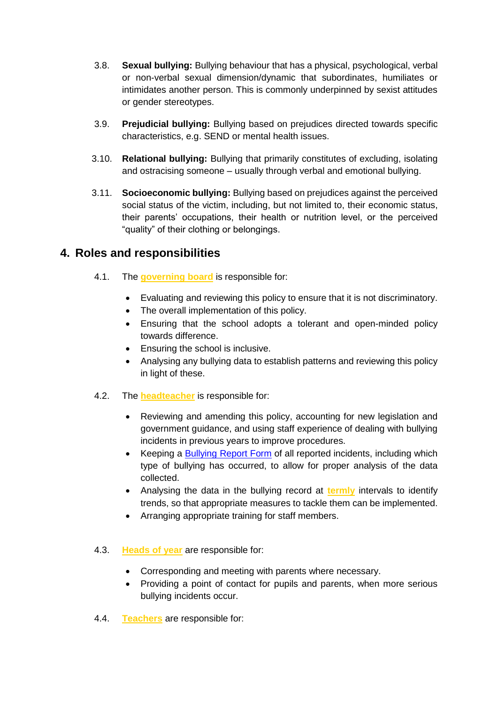- 3.8. **Sexual bullying:** Bullying behaviour that has a physical, psychological, verbal or non-verbal sexual dimension/dynamic that subordinates, humiliates or intimidates another person. This is commonly underpinned by sexist attitudes or gender stereotypes.
- 3.9. **Prejudicial bullying:** Bullying based on prejudices directed towards specific characteristics, e.g. SEND or mental health issues.
- 3.10. **Relational bullying:** Bullying that primarily constitutes of excluding, isolating and ostracising someone – usually through verbal and emotional bullying.
- 3.11. **Socioeconomic bullying:** Bullying based on prejudices against the perceived social status of the victim, including, but not limited to, their economic status, their parents' occupations, their health or nutrition level, or the perceived "quality" of their clothing or belongings.

# <span id="page-5-0"></span>**4. Roles and responsibilities**

- 4.1. The **governing board** is responsible for:
	- Evaluating and reviewing this policy to ensure that it is not discriminatory.
	- The overall implementation of this policy.
	- Ensuring that the school adopts a tolerant and open-minded policy towards difference.
	- Ensuring the school is inclusive.
	- Analysing any bullying data to establish patterns and reviewing this policy in light of these.
- 4.2. The **headteacher** is responsible for:
	- Reviewing and amending this policy, accounting for new legislation and government guidance, and using staff experience of dealing with bullying incidents in previous years to improve procedures.
	- Keeping a [Bullying Report Form](#page-17-0) of all reported incidents, including which type of bullying has occurred, to allow for proper analysis of the data collected.
	- Analysing the data in the bullying record at **termly** intervals to identify trends, so that appropriate measures to tackle them can be implemented.
	- Arranging appropriate training for staff members.

#### 4.3. **Heads of year** are responsible for:

- Corresponding and meeting with parents where necessary.
- Providing a point of contact for pupils and parents, when more serious bullying incidents occur.
- 4.4. **Teachers** are responsible for: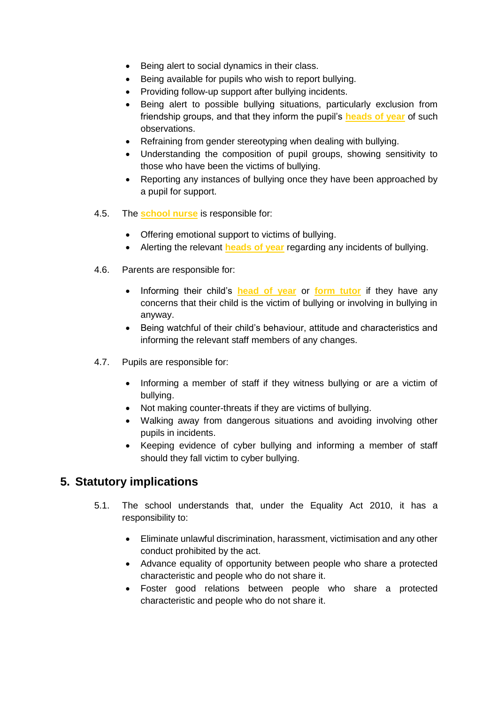- Being alert to social dynamics in their class.
- Being available for pupils who wish to report bullying.
- Providing follow-up support after bullying incidents.
- Being alert to possible bullying situations, particularly exclusion from friendship groups, and that they inform the pupil's **heads of year** of such observations.
- Refraining from gender stereotyping when dealing with bullying.
- Understanding the composition of pupil groups, showing sensitivity to those who have been the victims of bullying.
- Reporting any instances of bullying once they have been approached by a pupil for support.
- 4.5. The **school nurse** is responsible for:
	- Offering emotional support to victims of bullying.
	- Alerting the relevant **heads of year** regarding any incidents of bullying.
- 4.6. Parents are responsible for:
	- Informing their child's **head of year** or **form tutor** if they have any concerns that their child is the victim of bullying or involving in bullying in anyway.
	- Being watchful of their child's behaviour, attitude and characteristics and informing the relevant staff members of any changes.
- 4.7. Pupils are responsible for:
	- Informing a member of staff if they witness bullying or are a victim of bullying.
	- Not making counter-threats if they are victims of bullying.
	- Walking away from dangerous situations and avoiding involving other pupils in incidents.
	- Keeping evidence of cyber bullying and informing a member of staff should they fall victim to cyber bullying.

# <span id="page-6-0"></span>**5. Statutory implications**

- 5.1. The school understands that, under the Equality Act 2010, it has a responsibility to:
	- Eliminate unlawful discrimination, harassment, victimisation and any other conduct prohibited by the act.
	- Advance equality of opportunity between people who share a protected characteristic and people who do not share it.
	- Foster good relations between people who share a protected characteristic and people who do not share it.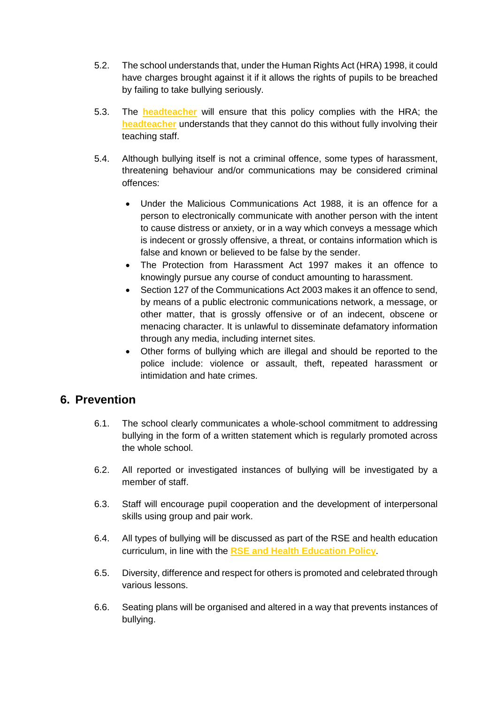- 5.2. The school understands that, under the Human Rights Act (HRA) 1998, it could have charges brought against it if it allows the rights of pupils to be breached by failing to take bullying seriously.
- 5.3. The **headteacher** will ensure that this policy complies with the HRA; the **headteacher** understands that they cannot do this without fully involving their teaching staff.
- 5.4. Although bullying itself is not a criminal offence, some types of harassment, threatening behaviour and/or communications may be considered criminal offences:
	- Under the Malicious Communications Act 1988, it is an offence for a person to electronically communicate with another person with the intent to cause distress or anxiety, or in a way which conveys a message which is indecent or grossly offensive, a threat, or contains information which is false and known or believed to be false by the sender.
	- The Protection from Harassment Act 1997 makes it an offence to knowingly pursue any course of conduct amounting to harassment.
	- Section 127 of the Communications Act 2003 makes it an offence to send. by means of a public electronic communications network, a message, or other matter, that is grossly offensive or of an indecent, obscene or menacing character. It is unlawful to disseminate defamatory information through any media, including internet sites.
	- Other forms of bullying which are illegal and should be reported to the police include: violence or assault, theft, repeated harassment or intimidation and hate crimes.

## <span id="page-7-0"></span>**6. Prevention**

- 6.1. The school clearly communicates a whole-school commitment to addressing bullying in the form of a written statement which is regularly promoted across the whole school.
- 6.2. All reported or investigated instances of bullying will be investigated by a member of staff.
- 6.3. Staff will encourage pupil cooperation and the development of interpersonal skills using group and pair work.
- 6.4. All types of bullying will be discussed as part of the RSE and health education curriculum, in line with the **RSE and Health Education Policy**.
- 6.5. Diversity, difference and respect for others is promoted and celebrated through various lessons.
- 6.6. Seating plans will be organised and altered in a way that prevents instances of bullying.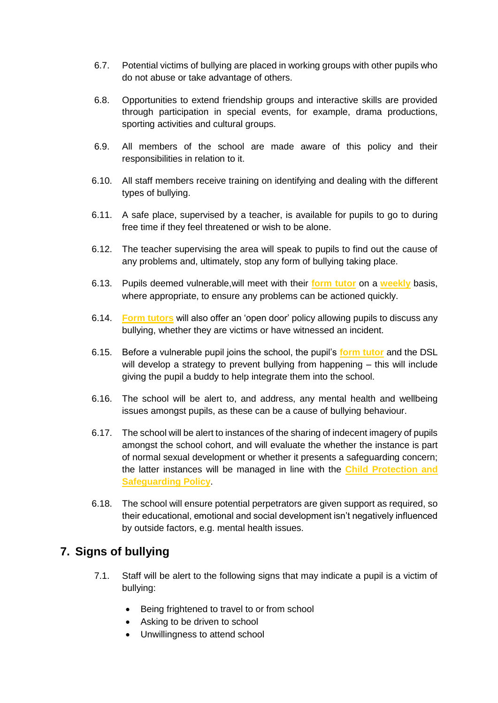- 6.7. Potential victims of bullying are placed in working groups with other pupils who do not abuse or take advantage of others.
- 6.8. Opportunities to extend friendship groups and interactive skills are provided through participation in special events, for example, drama productions, sporting activities and cultural groups.
- 6.9. All members of the school are made aware of this policy and their responsibilities in relation to it.
- 6.10. All staff members receive training on identifying and dealing with the different types of bullying.
- 6.11. A safe place, supervised by a teacher, is available for pupils to go to during free time if they feel threatened or wish to be alone.
- 6.12. The teacher supervising the area will speak to pupils to find out the cause of any problems and, ultimately, stop any form of bullying taking place.
- 6.13. Pupils deemed vulnerable,will meet with their **form tutor** on a **weekly** basis, where appropriate, to ensure any problems can be actioned quickly.
- 6.14. **Form tutors** will also offer an 'open door' policy allowing pupils to discuss any bullying, whether they are victims or have witnessed an incident.
- 6.15. Before a vulnerable pupil joins the school, the pupil's **form tutor** and the DSL will develop a strategy to prevent bullying from happening – this will include giving the pupil a buddy to help integrate them into the school.
- 6.16. The school will be alert to, and address, any mental health and wellbeing issues amongst pupils, as these can be a cause of bullying behaviour.
- 6.17. The school will be alert to instances of the sharing of indecent imagery of pupils amongst the school cohort, and will evaluate the whether the instance is part of normal sexual development or whether it presents a safeguarding concern; the latter instances will be managed in line with the **Child Protection and Safeguarding Policy**.
- 6.18. The school will ensure potential perpetrators are given support as required, so their educational, emotional and social development isn't negatively influenced by outside factors, e.g. mental health issues.

## <span id="page-8-0"></span>**7. Signs of bullying**

- 7.1. Staff will be alert to the following signs that may indicate a pupil is a victim of bullying:
	- Being frightened to travel to or from school
	- Asking to be driven to school
	- Unwillingness to attend school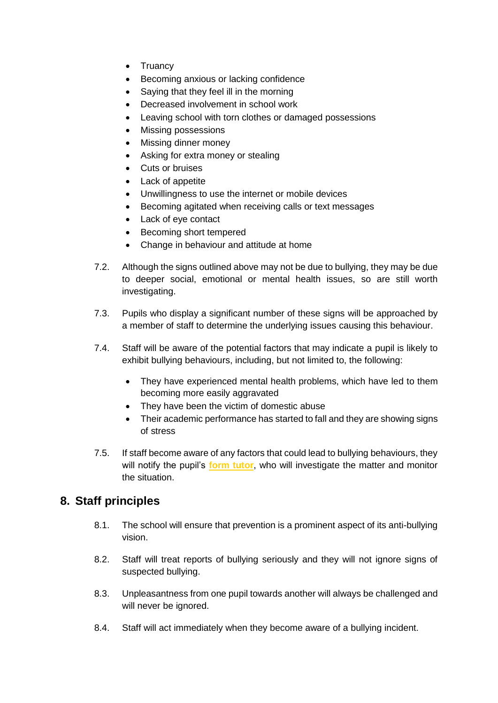- Truancy
- Becoming anxious or lacking confidence
- Saying that they feel ill in the morning
- Decreased involvement in school work
- Leaving school with torn clothes or damaged possessions
- Missing possessions
- Missing dinner money
- Asking for extra money or stealing
- Cuts or bruises
- Lack of appetite
- Unwillingness to use the internet or mobile devices
- Becoming agitated when receiving calls or text messages
- Lack of eye contact
- Becoming short tempered
- Change in behaviour and attitude at home
- 7.2. Although the signs outlined above may not be due to bullying, they may be due to deeper social, emotional or mental health issues, so are still worth investigating.
- 7.3. Pupils who display a significant number of these signs will be approached by a member of staff to determine the underlying issues causing this behaviour.
- 7.4. Staff will be aware of the potential factors that may indicate a pupil is likely to exhibit bullying behaviours, including, but not limited to, the following:
	- They have experienced mental health problems, which have led to them becoming more easily aggravated
	- They have been the victim of domestic abuse
	- Their academic performance has started to fall and they are showing signs of stress
- 7.5. If staff become aware of any factors that could lead to bullying behaviours, they will notify the pupil's **form tutor**, who will investigate the matter and monitor the situation.

# <span id="page-9-0"></span>**8. Staff principles**

- 8.1. The school will ensure that prevention is a prominent aspect of its anti-bullying vision.
- 8.2. Staff will treat reports of bullying seriously and they will not ignore signs of suspected bullying.
- 8.3. Unpleasantness from one pupil towards another will always be challenged and will never be ignored.
- 8.4. Staff will act immediately when they become aware of a bullying incident.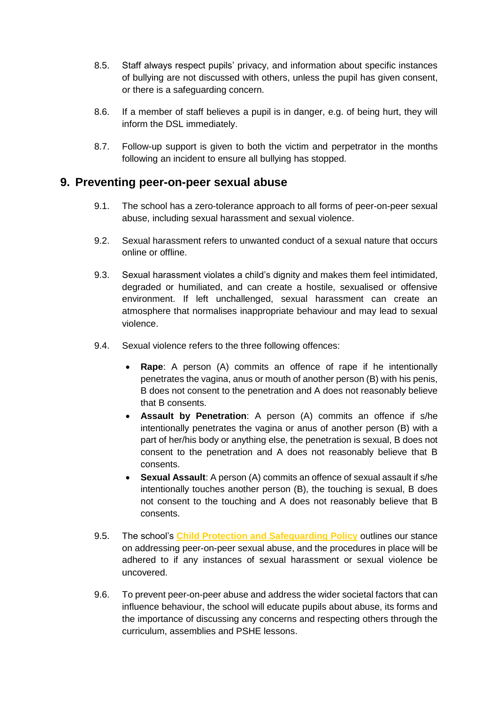- 8.5. Staff always respect pupils' privacy, and information about specific instances of bullying are not discussed with others, unless the pupil has given consent, or there is a safeguarding concern.
- 8.6. If a member of staff believes a pupil is in danger, e.g. of being hurt, they will inform the DSL immediately.
- 8.7. Follow-up support is given to both the victim and perpetrator in the months following an incident to ensure all bullying has stopped.

#### <span id="page-10-0"></span>**9. Preventing peer-on-peer sexual abuse**

- 9.1. The school has a zero-tolerance approach to all forms of peer-on-peer sexual abuse, including sexual harassment and sexual violence.
- 9.2. Sexual harassment refers to unwanted conduct of a sexual nature that occurs online or offline.
- 9.3. Sexual harassment violates a child's dignity and makes them feel intimidated, degraded or humiliated, and can create a hostile, sexualised or offensive environment. If left unchallenged, sexual harassment can create an atmosphere that normalises inappropriate behaviour and may lead to sexual violence.
- 9.4. Sexual violence refers to the three following offences:
	- **Rape**: A person (A) commits an offence of rape if he intentionally penetrates the vagina, anus or mouth of another person (B) with his penis, B does not consent to the penetration and A does not reasonably believe that B consents.
	- **Assault by Penetration**: A person (A) commits an offence if s/he intentionally penetrates the vagina or anus of another person (B) with a part of her/his body or anything else, the penetration is sexual, B does not consent to the penetration and A does not reasonably believe that B consents.
	- **Sexual Assault**: A person (A) commits an offence of sexual assault if s/he intentionally touches another person (B), the touching is sexual, B does not consent to the touching and A does not reasonably believe that B consents.
- 9.5. The school's **Child Protection and Safeguarding Policy** outlines our stance on addressing peer-on-peer sexual abuse, and the procedures in place will be adhered to if any instances of sexual harassment or sexual violence be uncovered.
- 9.6. To prevent peer-on-peer abuse and address the wider societal factors that can influence behaviour, the school will educate pupils about abuse, its forms and the importance of discussing any concerns and respecting others through the curriculum, assemblies and PSHE lessons.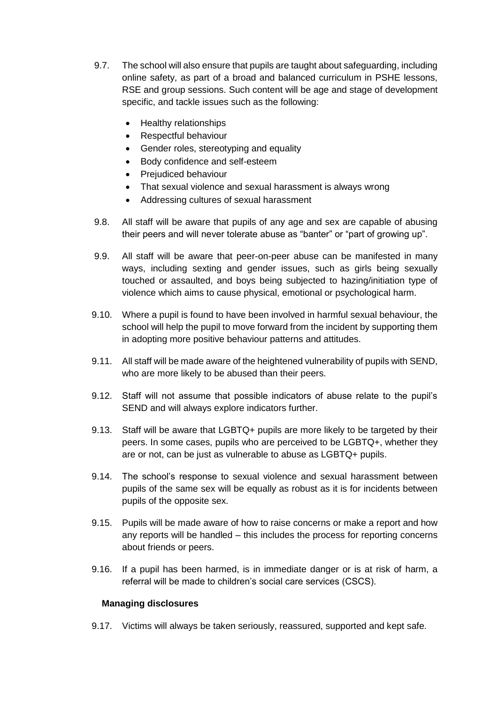- 9.7. The school will also ensure that pupils are taught about safeguarding, including online safety, as part of a broad and balanced curriculum in PSHE lessons, RSE and group sessions. Such content will be age and stage of development specific, and tackle issues such as the following:
	- Healthy relationships
	- Respectful behaviour
	- Gender roles, stereotyping and equality
	- Body confidence and self-esteem
	- Prejudiced behaviour
	- That sexual violence and sexual harassment is always wrong
	- Addressing cultures of sexual harassment
- 9.8. All staff will be aware that pupils of any age and sex are capable of abusing their peers and will never tolerate abuse as "banter" or "part of growing up".
- 9.9. All staff will be aware that peer-on-peer abuse can be manifested in many ways, including sexting and gender issues, such as girls being sexually touched or assaulted, and boys being subjected to hazing/initiation type of violence which aims to cause physical, emotional or psychological harm.
- 9.10. Where a pupil is found to have been involved in harmful sexual behaviour, the school will help the pupil to move forward from the incident by supporting them in adopting more positive behaviour patterns and attitudes.
- 9.11. All staff will be made aware of the heightened vulnerability of pupils with SEND, who are more likely to be abused than their peers.
- 9.12. Staff will not assume that possible indicators of abuse relate to the pupil's SEND and will always explore indicators further.
- 9.13. Staff will be aware that LGBTQ+ pupils are more likely to be targeted by their peers. In some cases, pupils who are perceived to be LGBTQ+, whether they are or not, can be just as vulnerable to abuse as LGBTQ+ pupils.
- 9.14. The school's response to sexual violence and sexual harassment between pupils of the same sex will be equally as robust as it is for incidents between pupils of the opposite sex.
- 9.15. Pupils will be made aware of how to raise concerns or make a report and how any reports will be handled – this includes the process for reporting concerns about friends or peers.
- 9.16. If a pupil has been harmed, is in immediate danger or is at risk of harm, a referral will be made to children's social care services (CSCS).

#### **Managing disclosures**

9.17. Victims will always be taken seriously, reassured, supported and kept safe.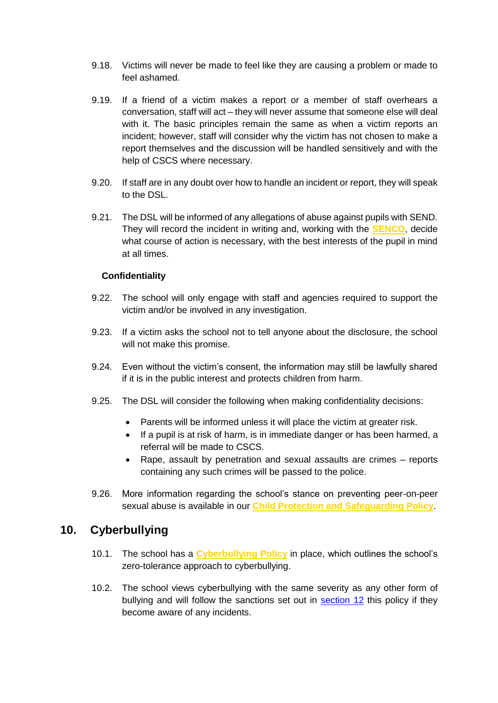- 9.18. Victims will never be made to feel like they are causing a problem or made to feel ashamed.
- 9.19. If a friend of a victim makes a report or a member of staff overhears a conversation, staff will act – they will never assume that someone else will deal with it. The basic principles remain the same as when a victim reports an incident; however, staff will consider why the victim has not chosen to make a report themselves and the discussion will be handled sensitively and with the help of CSCS where necessary.
- 9.20. If staff are in any doubt over how to handle an incident or report, they will speak to the DSL.
- 9.21. The DSL will be informed of any allegations of abuse against pupils with SEND. They will record the incident in writing and, working with the **SENCO**, decide what course of action is necessary, with the best interests of the pupil in mind at all times.

#### **Confidentiality**

- 9.22. The school will only engage with staff and agencies required to support the victim and/or be involved in any investigation.
- 9.23. If a victim asks the school not to tell anyone about the disclosure, the school will not make this promise.
- 9.24. Even without the victim's consent, the information may still be lawfully shared if it is in the public interest and protects children from harm.
- 9.25. The DSL will consider the following when making confidentiality decisions:
	- Parents will be informed unless it will place the victim at greater risk.
	- If a pupil is at risk of harm, is in immediate danger or has been harmed, a referral will be made to CSCS.
	- Rape, assault by penetration and sexual assaults are crimes reports containing any such crimes will be passed to the police.
- 9.26. More information regarding the school's stance on preventing peer-on-peer sexual abuse is available in our **Child Protection and Safeguarding Policy**.

#### <span id="page-12-0"></span>**10. Cyberbullying**

- 10.1. The school has a **Cyberbullying Policy** in place, which outlines the school's zero-tolerance approach to cyberbullying.
- 10.2. The school views cyberbullying with the same severity as any other form of bullying and will follow the sanctions set out in [section 12](#page-14-0) this policy if they become aware of any incidents.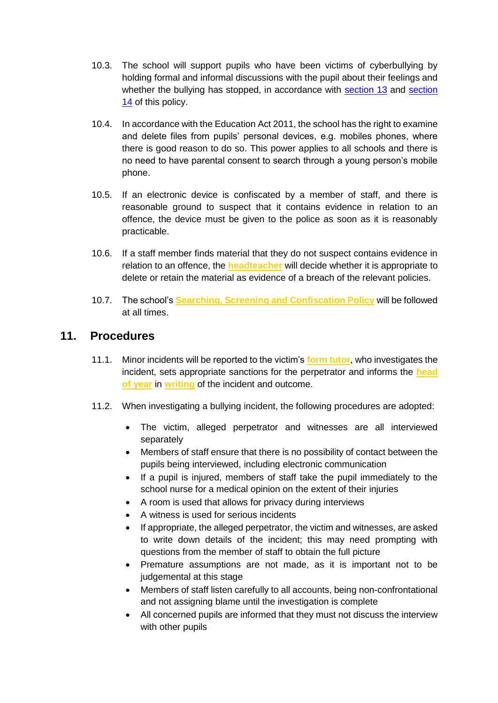- 10.3. The school will support pupils who have been victims of cyberbullying by holding formal and informal discussions with the pupil about their feelings and whether the bullying has stopped, in accordance with [section 13](#page-14-1) and [section](#page-15-0)  [14](#page-15-0) of this policy.
- 10.4. In accordance with the Education Act 2011, the school has the right to examine and delete files from pupils' personal devices, e.g. mobiles phones, where there is good reason to do so. This power applies to all schools and there is no need to have parental consent to search through a young person's mobile phone.
- 10.5. If an electronic device is confiscated by a member of staff, and there is reasonable ground to suspect that it contains evidence in relation to an offence, the device must be given to the police as soon as it is reasonably practicable.
- 10.6. If a staff member finds material that they do not suspect contains evidence in relation to an offence, the **headteacher** will decide whether it is appropriate to delete or retain the material as evidence of a breach of the relevant policies.
- 10.7. The school's **Searching, Screening and Confiscation Policy** will be followed at all times.

#### <span id="page-13-0"></span>**11. Procedures**

- 11.1. Minor incidents will be reported to the victim's **form tutor**, who investigates the incident, sets appropriate sanctions for the perpetrator and informs the **head of year** in **writing** of the incident and outcome.
- 11.2. When investigating a bullying incident, the following procedures are adopted:
	- The victim, alleged perpetrator and witnesses are all interviewed separately
	- Members of staff ensure that there is no possibility of contact between the pupils being interviewed, including electronic communication
	- If a pupil is injured, members of staff take the pupil immediately to the school nurse for a medical opinion on the extent of their injuries
	- A room is used that allows for privacy during interviews
	- A witness is used for serious incidents
	- If appropriate, the alleged perpetrator, the victim and witnesses, are asked to write down details of the incident; this may need prompting with questions from the member of staff to obtain the full picture
	- Premature assumptions are not made, as it is important not to be judgemental at this stage
	- Members of staff listen carefully to all accounts, being non-confrontational and not assigning blame until the investigation is complete
	- All concerned pupils are informed that they must not discuss the interview with other pupils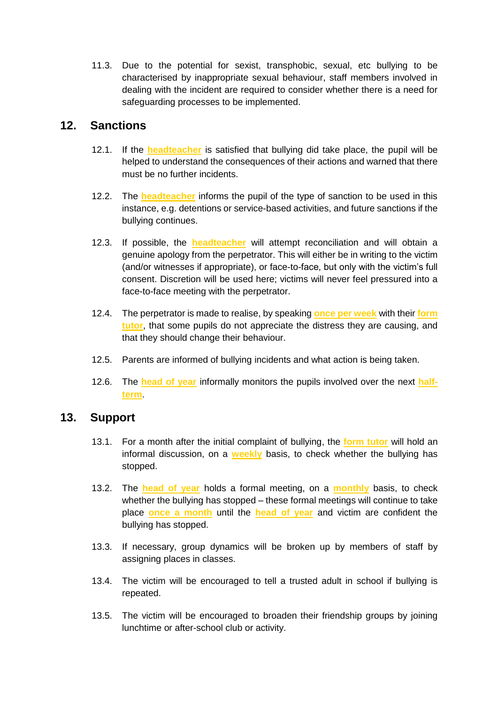11.3. Due to the potential for sexist, transphobic, sexual, etc bullying to be characterised by inappropriate sexual behaviour, staff members involved in dealing with the incident are required to consider whether there is a need for safeguarding processes to be implemented.

#### <span id="page-14-0"></span>**12. Sanctions**

- 12.1. If the **headteacher** is satisfied that bullying did take place, the pupil will be helped to understand the consequences of their actions and warned that there must be no further incidents.
- 12.2. The **headteacher** informs the pupil of the type of sanction to be used in this instance, e.g. detentions or service-based activities, and future sanctions if the bullying continues.
- 12.3. If possible, the **headteacher** will attempt reconciliation and will obtain a genuine apology from the perpetrator. This will either be in writing to the victim (and/or witnesses if appropriate), or face-to-face, but only with the victim's full consent. Discretion will be used here; victims will never feel pressured into a face-to-face meeting with the perpetrator.
- 12.4. The perpetrator is made to realise, by speaking **once per week** with their **form tutor**, that some pupils do not appreciate the distress they are causing, and that they should change their behaviour.
- 12.5. Parents are informed of bullying incidents and what action is being taken.
- 12.6. The **head of year** informally monitors the pupils involved over the next **halfterm**.

## <span id="page-14-1"></span>**13. Support**

- 13.1. For a month after the initial complaint of bullying, the **form tutor** will hold an informal discussion, on a **weekly** basis, to check whether the bullying has stopped.
- 13.2. The **head of year** holds a formal meeting, on a **monthly** basis, to check whether the bullying has stopped – these formal meetings will continue to take place **once a month** until the **head of year** and victim are confident the bullying has stopped.
- 13.3. If necessary, group dynamics will be broken up by members of staff by assigning places in classes.
- 13.4. The victim will be encouraged to tell a trusted adult in school if bullying is repeated.
- 13.5. The victim will be encouraged to broaden their friendship groups by joining lunchtime or after-school club or activity.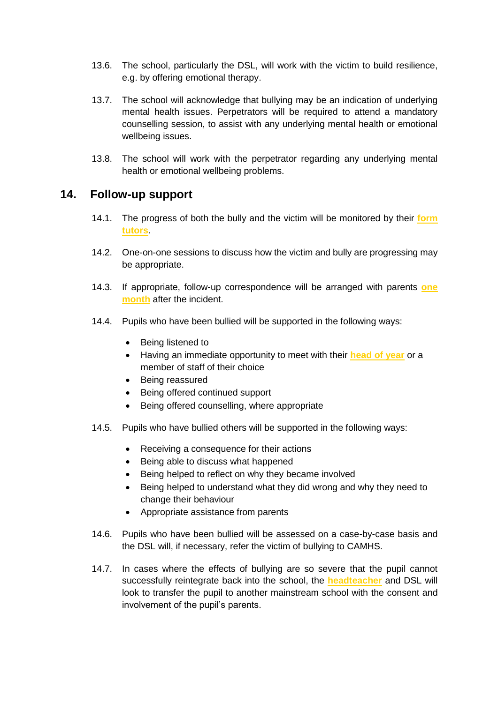- 13.6. The school, particularly the DSL, will work with the victim to build resilience, e.g. by offering emotional therapy.
- 13.7. The school will acknowledge that bullying may be an indication of underlying mental health issues. Perpetrators will be required to attend a mandatory counselling session, to assist with any underlying mental health or emotional wellbeing issues.
- 13.8. The school will work with the perpetrator regarding any underlying mental health or emotional wellbeing problems.

#### <span id="page-15-0"></span>**14. Follow-up support**

- 14.1. The progress of both the bully and the victim will be monitored by their **form tutors**.
- 14.2. One-on-one sessions to discuss how the victim and bully are progressing may be appropriate.
- 14.3. If appropriate, follow-up correspondence will be arranged with parents **one month** after the incident.
- 14.4. Pupils who have been bullied will be supported in the following ways:
	- Being listened to
	- Having an immediate opportunity to meet with their **head of year** or a member of staff of their choice
	- Being reassured
	- Being offered continued support
	- Being offered counselling, where appropriate
- 14.5. Pupils who have bullied others will be supported in the following ways:
	- Receiving a consequence for their actions
	- Being able to discuss what happened
	- Being helped to reflect on why they became involved
	- Being helped to understand what they did wrong and why they need to change their behaviour
	- Appropriate assistance from parents
- 14.6. Pupils who have been bullied will be assessed on a case-by-case basis and the DSL will, if necessary, refer the victim of bullying to CAMHS.
- 14.7. In cases where the effects of bullying are so severe that the pupil cannot successfully reintegrate back into the school, the **headteacher** and DSL will look to transfer the pupil to another mainstream school with the consent and involvement of the pupil's parents.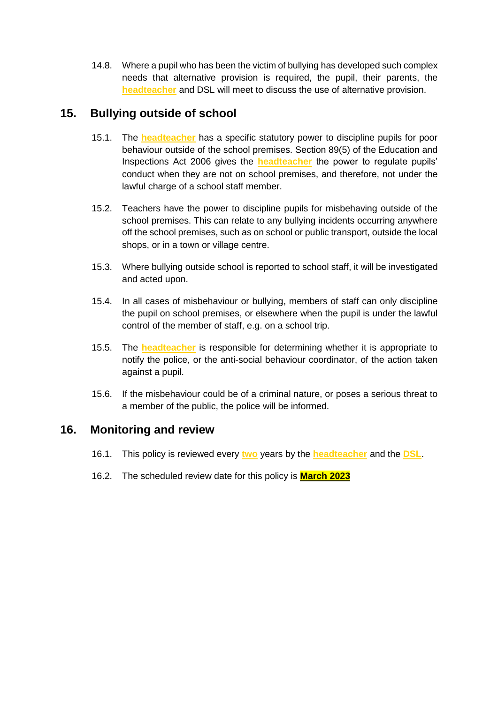14.8. Where a pupil who has been the victim of bullying has developed such complex needs that alternative provision is required, the pupil, their parents, the **headteacher** and DSL will meet to discuss the use of alternative provision.

# <span id="page-16-0"></span>**15. Bullying outside of school**

- 15.1. The **headteacher** has a specific statutory power to discipline pupils for poor behaviour outside of the school premises. Section 89(5) of the Education and Inspections Act 2006 gives the **headteacher** the power to regulate pupils' conduct when they are not on school premises, and therefore, not under the lawful charge of a school staff member.
- 15.2. Teachers have the power to discipline pupils for misbehaving outside of the school premises. This can relate to any bullying incidents occurring anywhere off the school premises, such as on school or public transport, outside the local shops, or in a town or village centre.
- 15.3. Where bullying outside school is reported to school staff, it will be investigated and acted upon.
- 15.4. In all cases of misbehaviour or bullying, members of staff can only discipline the pupil on school premises, or elsewhere when the pupil is under the lawful control of the member of staff, e.g. on a school trip.
- 15.5. The **headteacher** is responsible for determining whether it is appropriate to notify the police, or the anti-social behaviour coordinator, of the action taken against a pupil.
- 15.6. If the misbehaviour could be of a criminal nature, or poses a serious threat to a member of the public, the police will be informed.

#### <span id="page-16-1"></span>**16. Monitoring and review**

- 16.1. This policy is reviewed every **two** years by the **headteacher** and the **DSL**.
- 16.2. The scheduled review date for this policy is **March 2023**